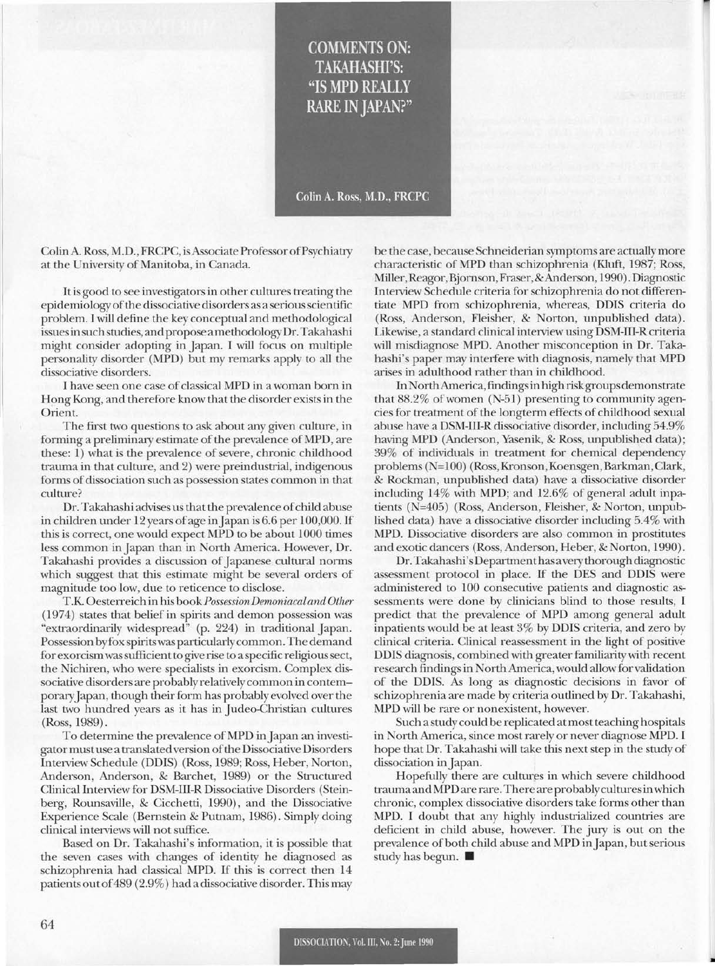## **COMMENTS ON: TAKAHASHI'S:** "IS MPD REALLY **RARE IN JAPAN?"**

Colin A. Ross, M.D., FRCPC

ColinA. Ross, M.D., FRCPC, isAssociate Professor ofPsychiatry at the University of Manitoba, in Canada.

It is good to see investigators in other cultures treating the epidemiologyofthe dissociative disorders as a seriousscientific problem. I will define the key conceptual and methodological issuesinsuch studies, and propose a methodologyDr.Takahashi might consider adopting in Japan. I will focus on multiple personality disorder (MPD) but my remarks apply to all the dissociative disorders.

I have seen one case of classical MPD in a woman born in Hong Kong, and therefore know that the disorder exists in the Orient.

The first two questions to ask about any given culture, in forming a preliminary estimate of the prevalence of MPD, are these: 1) what is the prevalence of severe, chronic childhood trauma in that culture, and 2) were preindustrial, indigenous forms of dissociation such as possession states common in that culture?

Dr. Takahashi advises us that the prevalence of child abuse in children under 12 years of age in Japan is 6.6 per 100,000. If this is correct, one would expect MPD to be about 1000 times less common inJapan than in North America. However, Dr. Takahashi provides a discussion of Japanese cultural norms which suggest that this estimate might be several orders of magnitude too low, due to reticence to disclose.

T.K. Oesterreich in his *bookPossessionDemoniacaland Other* (1974) states that belief in spirits and demon possession was "extraordinarily widespread" (p. 224) in traditional Japan. Possession byfox spiritswas particularlycommon.The demand for exorcismwassufficient to give rise to a specific religioussect, the Nichiren, who were specialists in exorcism. Complex dissociative disorders are probably relatively common in contemporaryJapan, though their form has probably evolved over the last two hundred years as it has in Judeo-Christian cultures (Ross, 1989).

To determine the prevalence of MPD in Japan an investigatormustuse a translated version ofthe Dissociative Disorders Interview Schedule (DDIS) (Ross, 1989; Ross, Heber, Norton, Anderson, Anderson, & Barchet, 1989) or the Structured Clinical Interview for DSM-III-R Dissociative Disorders (Steinberg, Rounsaville, & Cicchetti, 1990), and the Dissociative Experience Scale (Bernstein & Putnam, 1986). Simply doing clinical interviews will not suffice.

Based on Dr. Takahashi's information, it is possible that the seven cases with changes of identity he diagnosed as schizophrenia had classical MPD. If this is correct then 14 patientsoutof489 (2.9%) had a dissociative disorder. This may be the case, because Schneiderian symptoms are actually more characteristic ofMPD than schizophrenia (Kluft, 1987; Ross, Miller,Reagor, Bjornson,Fraser,&Anderson, 1990).Diagnostic Interview Schedule criteria for schizophrenia do not differentiate MPD from schizophrenia, whereas, DDIS criteria do (Ross, Anderson, Fleisher, & Norton, unpublished data). Likewise, a standard clinical interview using DSM-III-Rcriteria will misdiagnose MPD. Another misconception in Dr. Takahashi's paper may interfere with diagnosis, namely that MPD arises in adulthood rather than in childhood.

InNorthAmerica,findingsin high riskgroups demonstrate that 88.2% of women (N-51) presenting to community agencies for treatment of the longterm effects of childhood sexual abuse have a DSM-III-R dissociative disorder, including 54.9% having MPD (Anderson, Yasenik, & Ross, unpublished data); 39% of individuals in treatment for chemical dependency problems (N=100) (Ross, Kronson, Koensgen, Barkman, Clark, & Rockman, unpublished data) have a dissociative disorder including 14% with MPD; and 12.6% of general adult inpatients (N=405) (Ross, Anderson, Fleisher, & Norton, unpublished data) have a dissociative disorder including 5.4% with MPD. Dissociative disorders are also common in prostitutes and exotic dancers (Ross, Anderson, Heber, & Norton, 1990).

Dr. Takahashi'sDepartmenthas avery thorough diagnostic assessment protocol in place. If the DES and DDIS were administered to 100 consecutive patients and diagnostic assessments were done by clinicians blind to those results, I predict that the prevalence of MPD among general adult inpatients would be at least 3% by DDIS criteria, and zero by clinical criteria. Clinical reassessment in the light of positive DDIS diagnosis, combined with greater familiarity with recent research findings in North America, would allowfor validation of the DDIS. As long as diagnostic decisions in favor of schizophrenia are made by criteria outlined by Dr. Takahashi, MPD will be rare or nonexistent, however.

Such a study could be replicated atmost teaching hospitals in North America, since most rarely or never diagnose MPD. I hope that Dr. Takahashi will take this next step in the study of dissociation in Japan.

Hopefully there are cultures in which severe childhood traumaandMPD are rare. There areprobablyculturesinwhich chronic, complex dissociative disorders take forms other than MPD. I doubt that any highly industrialized countries are deficient in child abuse, however. The jury is out on the prevalence of both child abuse and MPD in Japan, but serious study has begun.  $\blacksquare$ 

•